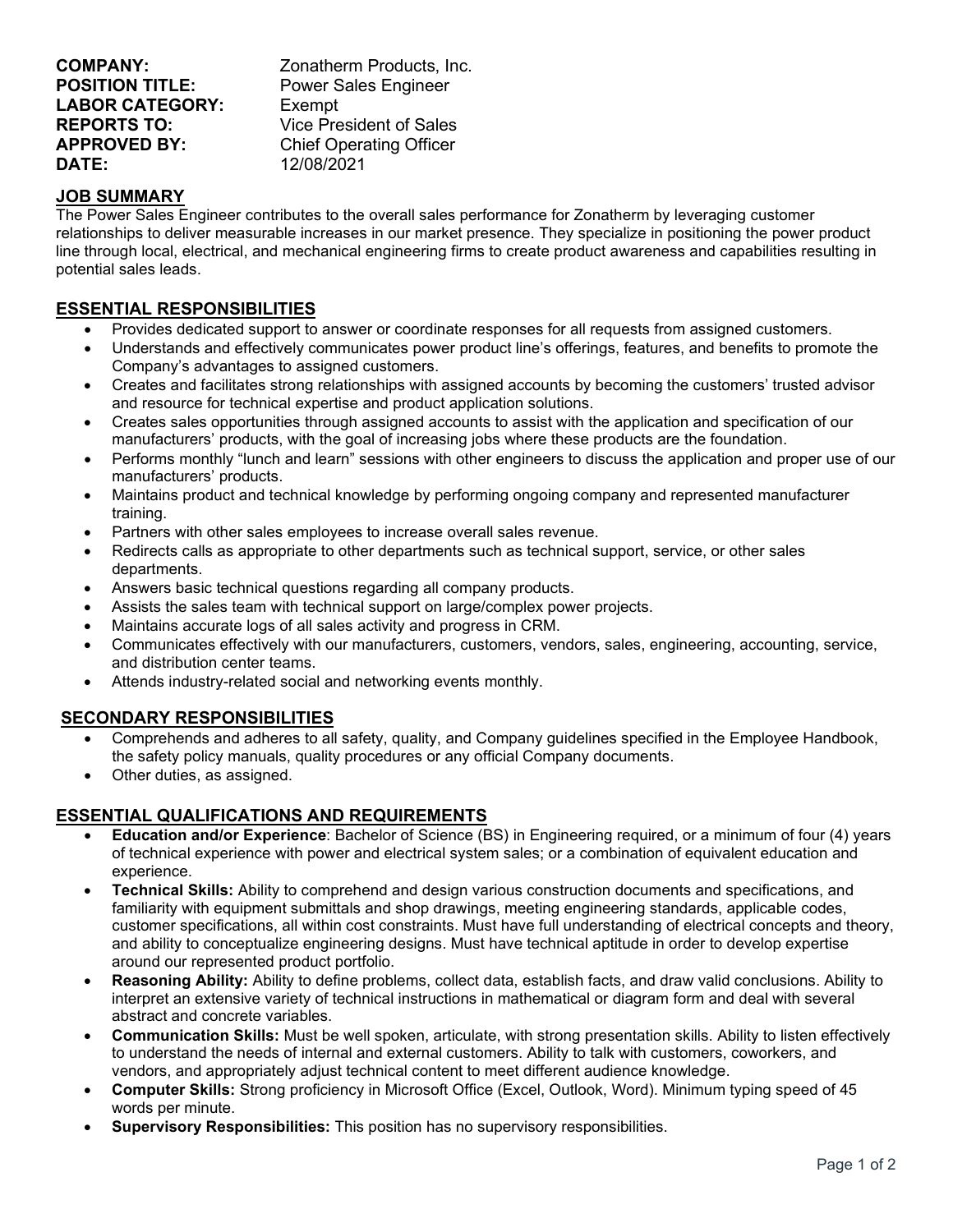| Zonatherm Products, Inc.       |
|--------------------------------|
| <b>Power Sales Engineer</b>    |
| Exempt                         |
| <b>Vice President of Sales</b> |
| <b>Chief Operating Officer</b> |
| 12/08/2021                     |
|                                |

## **JOB SUMMARY**

The Power Sales Engineer contributes to the overall sales performance for Zonatherm by leveraging customer relationships to deliver measurable increases in our market presence. They specialize in positioning the power product line through local, electrical, and mechanical engineering firms to create product awareness and capabilities resulting in potential sales leads.

## **ESSENTIAL RESPONSIBILITIES**

- Provides dedicated support to answer or coordinate responses for all requests from assigned customers.
- Understands and effectively communicates power product line's offerings, features, and benefits to promote the Company's advantages to assigned customers.
- Creates and facilitates strong relationships with assigned accounts by becoming the customers' trusted advisor and resource for technical expertise and product application solutions.
- Creates sales opportunities through assigned accounts to assist with the application and specification of our manufacturers' products, with the goal of increasing jobs where these products are the foundation.
- Performs monthly "lunch and learn" sessions with other engineers to discuss the application and proper use of our manufacturers' products.
- Maintains product and technical knowledge by performing ongoing company and represented manufacturer training.
- Partners with other sales employees to increase overall sales revenue.
- Redirects calls as appropriate to other departments such as technical support, service, or other sales departments.
- Answers basic technical questions regarding all company products.
- Assists the sales team with technical support on large/complex power projects.
- Maintains accurate logs of all sales activity and progress in CRM.
- Communicates effectively with our manufacturers, customers, vendors, sales, engineering, accounting, service, and distribution center teams.
- Attends industry-related social and networking events monthly.

## **SECONDARY RESPONSIBILITIES**

- Comprehends and adheres to all safety, quality, and Company guidelines specified in the Employee Handbook, the safety policy manuals, quality procedures or any official Company documents.
- Other duties, as assigned.

## **ESSENTIAL QUALIFICATIONS AND REQUIREMENTS**

- **Education and/or Experience**: Bachelor of Science (BS) in Engineering required, or a minimum of four (4) years of technical experience with power and electrical system sales; or a combination of equivalent education and experience.
- **Technical Skills:** Ability to comprehend and design various construction documents and specifications, and familiarity with equipment submittals and shop drawings, meeting engineering standards, applicable codes, customer specifications, all within cost constraints. Must have full understanding of electrical concepts and theory, and ability to conceptualize engineering designs. Must have technical aptitude in order to develop expertise around our represented product portfolio.
- **Reasoning Ability:** Ability to define problems, collect data, establish facts, and draw valid conclusions. Ability to interpret an extensive variety of technical instructions in mathematical or diagram form and deal with several abstract and concrete variables.
- **Communication Skills:** Must be well spoken, articulate, with strong presentation skills. Ability to listen effectively to understand the needs of internal and external customers. Ability to talk with customers, coworkers, and vendors, and appropriately adjust technical content to meet different audience knowledge.
- **Computer Skills:** Strong proficiency in Microsoft Office (Excel, Outlook, Word). Minimum typing speed of 45 words per minute.
- **Supervisory Responsibilities:** This position has no supervisory responsibilities.